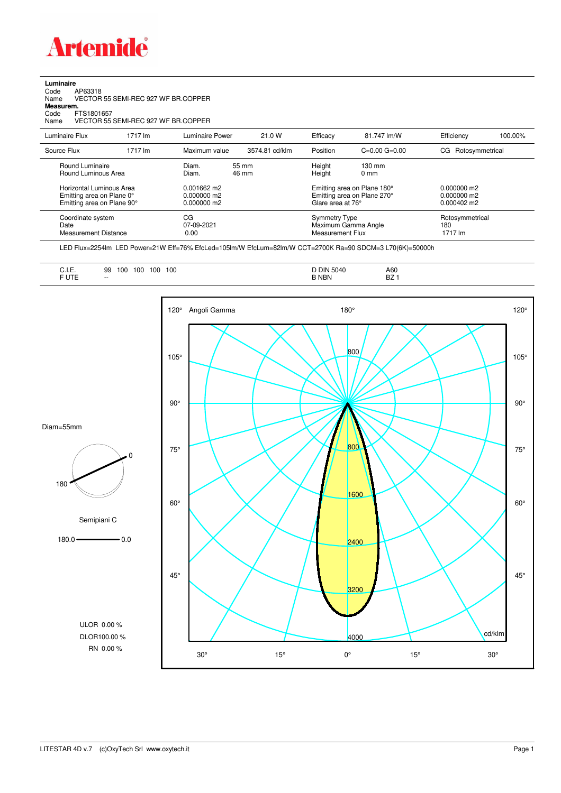

**Luminaire**<br>Code<br>Name Code AP63318 Name VECTOR 55 SEMI-REC 927 WF BR.COPPER

**Measurem.**

Code FTS1801657 Name VECTOR 55 SEMI-REC 927 WF BR.COPPER

| Luminaire Flux                                                                                                                | 1717 lm | Luminaire Power                                                   | 21.0 W         | Efficacy                              | 81.747 lm/W                                                                            | Efficiency                                             | 100.00% |
|-------------------------------------------------------------------------------------------------------------------------------|---------|-------------------------------------------------------------------|----------------|---------------------------------------|----------------------------------------------------------------------------------------|--------------------------------------------------------|---------|
| Source Flux                                                                                                                   | 1717 lm | Maximum value                                                     | 3574.81 cd/klm | Position                              | $C=0.00$ $G=0.00$                                                                      | Rotosymmetrical<br>CG.                                 |         |
| Round Luminaire<br>Round Luminous Area<br>Horizontal Luminous Area<br>Emitting area on Plane 0°<br>Emitting area on Plane 90° |         | Diam.<br>Diam.<br>$0.001662$ m2<br>$0.000000$ m2<br>$0.000000$ m2 | 55 mm<br>46 mm | Height<br>Height<br>Glare area at 76° | 130 mm<br>$0 \text{ mm}$<br>Emitting area on Plane 180°<br>Emitting area on Plane 270° | $0.000000$ m2<br>$0.000000$ m2<br>$0.000402 \text{ m}$ |         |
| Coordinate system<br>Date<br><b>Measurement Distance</b>                                                                      |         | CG<br>07-09-2021<br>0.00                                          |                | Symmetry Type<br>Measurement Flux     | Maximum Gamma Angle                                                                    | Rotosymmetrical<br>180<br>1717 lm                      |         |

LED Flux=2254lm LED Power=21W Eff=76% EfcLed=105lm/W EfcLum=82lm/W CCT=2700K Ra=90 SDCM=3 L70(6K)=50000h